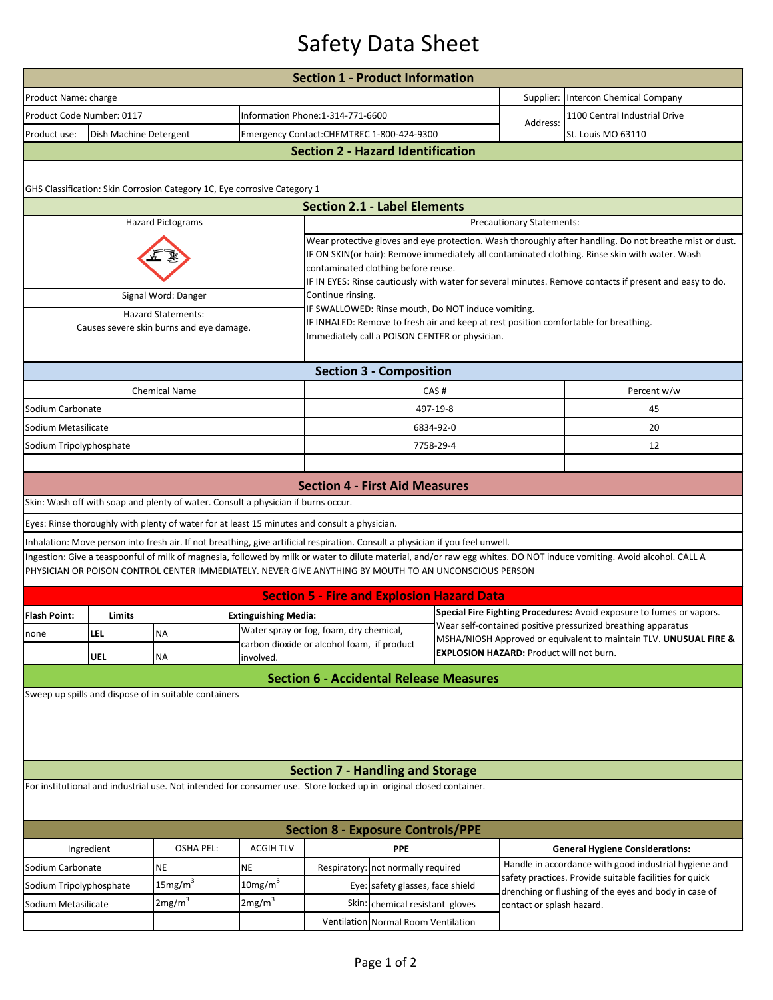## Safety Data Sheet

| Product Name: charge                                                  |                           |                                                                                                                                |                             | <b>Section 1 - Product Information</b>                                                                                                                                                                                                                                                                                                                      |                                           |                                                                                                                                      |                                                                   |                                                                                                                                                                       |  |  |  |  |  |
|-----------------------------------------------------------------------|---------------------------|--------------------------------------------------------------------------------------------------------------------------------|-----------------------------|-------------------------------------------------------------------------------------------------------------------------------------------------------------------------------------------------------------------------------------------------------------------------------------------------------------------------------------------------------------|-------------------------------------------|--------------------------------------------------------------------------------------------------------------------------------------|-------------------------------------------------------------------|-----------------------------------------------------------------------------------------------------------------------------------------------------------------------|--|--|--|--|--|
|                                                                       |                           |                                                                                                                                |                             |                                                                                                                                                                                                                                                                                                                                                             |                                           | Supplier:                                                                                                                            | Intercon Chemical Company                                         |                                                                                                                                                                       |  |  |  |  |  |
|                                                                       | Product Code Number: 0117 |                                                                                                                                |                             |                                                                                                                                                                                                                                                                                                                                                             | Information Phone:1-314-771-6600          |                                                                                                                                      |                                                                   | 1100 Central Industrial Drive                                                                                                                                         |  |  |  |  |  |
| Product use:                                                          | Dish Machine Detergent    |                                                                                                                                |                             |                                                                                                                                                                                                                                                                                                                                                             | Emergency Contact:CHEMTREC 1-800-424-9300 |                                                                                                                                      |                                                                   | St. Louis MO 63110                                                                                                                                                    |  |  |  |  |  |
| <b>Section 2 - Hazard Identification</b>                              |                           |                                                                                                                                |                             |                                                                                                                                                                                                                                                                                                                                                             |                                           |                                                                                                                                      |                                                                   |                                                                                                                                                                       |  |  |  |  |  |
|                                                                       |                           |                                                                                                                                |                             |                                                                                                                                                                                                                                                                                                                                                             |                                           |                                                                                                                                      |                                                                   |                                                                                                                                                                       |  |  |  |  |  |
|                                                                       |                           | GHS Classification: Skin Corrosion Category 1C, Eye corrosive Category 1                                                       |                             |                                                                                                                                                                                                                                                                                                                                                             |                                           |                                                                                                                                      |                                                                   |                                                                                                                                                                       |  |  |  |  |  |
| <b>Section 2.1 - Label Elements</b>                                   |                           |                                                                                                                                |                             |                                                                                                                                                                                                                                                                                                                                                             |                                           |                                                                                                                                      |                                                                   |                                                                                                                                                                       |  |  |  |  |  |
|                                                                       |                           | <b>Hazard Pictograms</b>                                                                                                       |                             | Precautionary Statements:                                                                                                                                                                                                                                                                                                                                   |                                           |                                                                                                                                      |                                                                   |                                                                                                                                                                       |  |  |  |  |  |
|                                                                       |                           |                                                                                                                                |                             | Wear protective gloves and eye protection. Wash thoroughly after handling. Do not breathe mist or dust.<br>IF ON SKIN(or hair): Remove immediately all contaminated clothing. Rinse skin with water. Wash<br>contaminated clothing before reuse.<br>IF IN EYES: Rinse cautiously with water for several minutes. Remove contacts if present and easy to do. |                                           |                                                                                                                                      |                                                                   |                                                                                                                                                                       |  |  |  |  |  |
|                                                                       |                           | Signal Word: Danger                                                                                                            |                             | Continue rinsing.                                                                                                                                                                                                                                                                                                                                           |                                           |                                                                                                                                      |                                                                   |                                                                                                                                                                       |  |  |  |  |  |
| <b>Hazard Statements:</b><br>Causes severe skin burns and eye damage. |                           |                                                                                                                                |                             | IF SWALLOWED: Rinse mouth, Do NOT induce vomiting.<br>IF INHALED: Remove to fresh air and keep at rest position comfortable for breathing.<br>Immediately call a POISON CENTER or physician.                                                                                                                                                                |                                           |                                                                                                                                      |                                                                   |                                                                                                                                                                       |  |  |  |  |  |
|                                                                       |                           |                                                                                                                                |                             |                                                                                                                                                                                                                                                                                                                                                             | <b>Section 3 - Composition</b>            |                                                                                                                                      |                                                                   |                                                                                                                                                                       |  |  |  |  |  |
|                                                                       |                           | <b>Chemical Name</b>                                                                                                           |                             | CAS#                                                                                                                                                                                                                                                                                                                                                        |                                           |                                                                                                                                      |                                                                   | Percent w/w                                                                                                                                                           |  |  |  |  |  |
| Sodium Carbonate                                                      |                           |                                                                                                                                |                             |                                                                                                                                                                                                                                                                                                                                                             |                                           | 497-19-8                                                                                                                             |                                                                   | 45                                                                                                                                                                    |  |  |  |  |  |
| Sodium Metasilicate                                                   |                           |                                                                                                                                |                             |                                                                                                                                                                                                                                                                                                                                                             |                                           | 6834-92-0                                                                                                                            |                                                                   | 20                                                                                                                                                                    |  |  |  |  |  |
| Sodium Tripolyphosphate                                               |                           |                                                                                                                                |                             |                                                                                                                                                                                                                                                                                                                                                             |                                           | 7758-29-4                                                                                                                            |                                                                   | 12                                                                                                                                                                    |  |  |  |  |  |
|                                                                       |                           |                                                                                                                                |                             |                                                                                                                                                                                                                                                                                                                                                             |                                           |                                                                                                                                      |                                                                   |                                                                                                                                                                       |  |  |  |  |  |
|                                                                       |                           |                                                                                                                                |                             | <b>Section 4 - First Aid Measures</b>                                                                                                                                                                                                                                                                                                                       |                                           |                                                                                                                                      |                                                                   |                                                                                                                                                                       |  |  |  |  |  |
|                                                                       |                           | Skin: Wash off with soap and plenty of water. Consult a physician if burns occur.                                              |                             |                                                                                                                                                                                                                                                                                                                                                             |                                           |                                                                                                                                      |                                                                   |                                                                                                                                                                       |  |  |  |  |  |
|                                                                       |                           | Eyes: Rinse thoroughly with plenty of water for at least 15 minutes and consult a physician.                                   |                             |                                                                                                                                                                                                                                                                                                                                                             |                                           |                                                                                                                                      |                                                                   |                                                                                                                                                                       |  |  |  |  |  |
|                                                                       |                           | Inhalation: Move person into fresh air. If not breathing, give artificial respiration. Consult a physician if you feel unwell. |                             |                                                                                                                                                                                                                                                                                                                                                             |                                           |                                                                                                                                      |                                                                   |                                                                                                                                                                       |  |  |  |  |  |
|                                                                       |                           | PHYSICIAN OR POISON CONTROL CENTER IMMEDIATELY. NEVER GIVE ANYTHING BY MOUTH TO AN UNCONSCIOUS PERSON                          |                             |                                                                                                                                                                                                                                                                                                                                                             |                                           |                                                                                                                                      |                                                                   | Ingestion: Give a teaspoonful of milk of magnesia, followed by milk or water to dilute material, and/or raw egg whites. DO NOT induce vomiting. Avoid alcohol. CALL A |  |  |  |  |  |
|                                                                       |                           |                                                                                                                                |                             | <b>Section 5 - Fire and Explosion Hazard Data</b>                                                                                                                                                                                                                                                                                                           |                                           |                                                                                                                                      |                                                                   |                                                                                                                                                                       |  |  |  |  |  |
| <b>Flash Point:</b>                                                   | Limits                    |                                                                                                                                | <b>Extinguishing Media:</b> |                                                                                                                                                                                                                                                                                                                                                             |                                           | Special Fire Fighting Procedures: Avoid exposure to fumes or vapors.<br>Wear self-contained positive pressurized breathing apparatus |                                                                   |                                                                                                                                                                       |  |  |  |  |  |
| none                                                                  | LEL                       | NA.                                                                                                                            |                             | Water spray or fog, foam, dry chemical,<br>carbon dioxide or alcohol foam, if product                                                                                                                                                                                                                                                                       |                                           |                                                                                                                                      | MSHA/NIOSH Approved or equivalent to maintain TLV. UNUSUAL FIRE & |                                                                                                                                                                       |  |  |  |  |  |
|                                                                       | UEL                       | <b>NA</b>                                                                                                                      | involved.                   |                                                                                                                                                                                                                                                                                                                                                             |                                           | EXPLOSION HAZARD: Product will not burn.                                                                                             |                                                                   |                                                                                                                                                                       |  |  |  |  |  |
|                                                                       |                           |                                                                                                                                |                             | <b>Section 6 - Accidental Release Measures</b>                                                                                                                                                                                                                                                                                                              |                                           |                                                                                                                                      |                                                                   |                                                                                                                                                                       |  |  |  |  |  |
| Sweep up spills and dispose of in suitable containers                 |                           |                                                                                                                                |                             |                                                                                                                                                                                                                                                                                                                                                             |                                           |                                                                                                                                      |                                                                   |                                                                                                                                                                       |  |  |  |  |  |
|                                                                       |                           |                                                                                                                                |                             |                                                                                                                                                                                                                                                                                                                                                             |                                           |                                                                                                                                      |                                                                   |                                                                                                                                                                       |  |  |  |  |  |
|                                                                       |                           |                                                                                                                                |                             | <b>Section 7 - Handling and Storage</b>                                                                                                                                                                                                                                                                                                                     |                                           |                                                                                                                                      |                                                                   |                                                                                                                                                                       |  |  |  |  |  |
|                                                                       |                           | For institutional and industrial use. Not intended for consumer use. Store locked up in original closed container.             |                             |                                                                                                                                                                                                                                                                                                                                                             |                                           |                                                                                                                                      |                                                                   |                                                                                                                                                                       |  |  |  |  |  |
|                                                                       |                           |                                                                                                                                |                             | <b>Section 8 - Exposure Controls/PPE</b>                                                                                                                                                                                                                                                                                                                    |                                           |                                                                                                                                      |                                                                   |                                                                                                                                                                       |  |  |  |  |  |
| Ingredient                                                            |                           | OSHA PEL:                                                                                                                      | <b>ACGIH TLV</b>            |                                                                                                                                                                                                                                                                                                                                                             | <b>PPE</b>                                |                                                                                                                                      |                                                                   | <b>General Hygiene Considerations:</b>                                                                                                                                |  |  |  |  |  |
| Sodium Carbonate                                                      |                           | <b>NE</b>                                                                                                                      | NE                          |                                                                                                                                                                                                                                                                                                                                                             | Respiratory: not normally required        |                                                                                                                                      |                                                                   | Handle in accordance with good industrial hygiene and                                                                                                                 |  |  |  |  |  |
| Sodium Tripolyphosphate                                               |                           | 15mg/m <sup>3</sup>                                                                                                            | 10mg/m <sup>3</sup>         |                                                                                                                                                                                                                                                                                                                                                             | Eye: safety glasses, face shield          |                                                                                                                                      |                                                                   | safety practices. Provide suitable facilities for quick<br>drenching or flushing of the eyes and body in case of                                                      |  |  |  |  |  |
| Sodium Metasilicate                                                   |                           | 2mg/m <sup>3</sup>                                                                                                             | 2mg/m <sup>3</sup>          |                                                                                                                                                                                                                                                                                                                                                             | Skin: chemical resistant gloves           |                                                                                                                                      | contact or splash hazard.                                         |                                                                                                                                                                       |  |  |  |  |  |